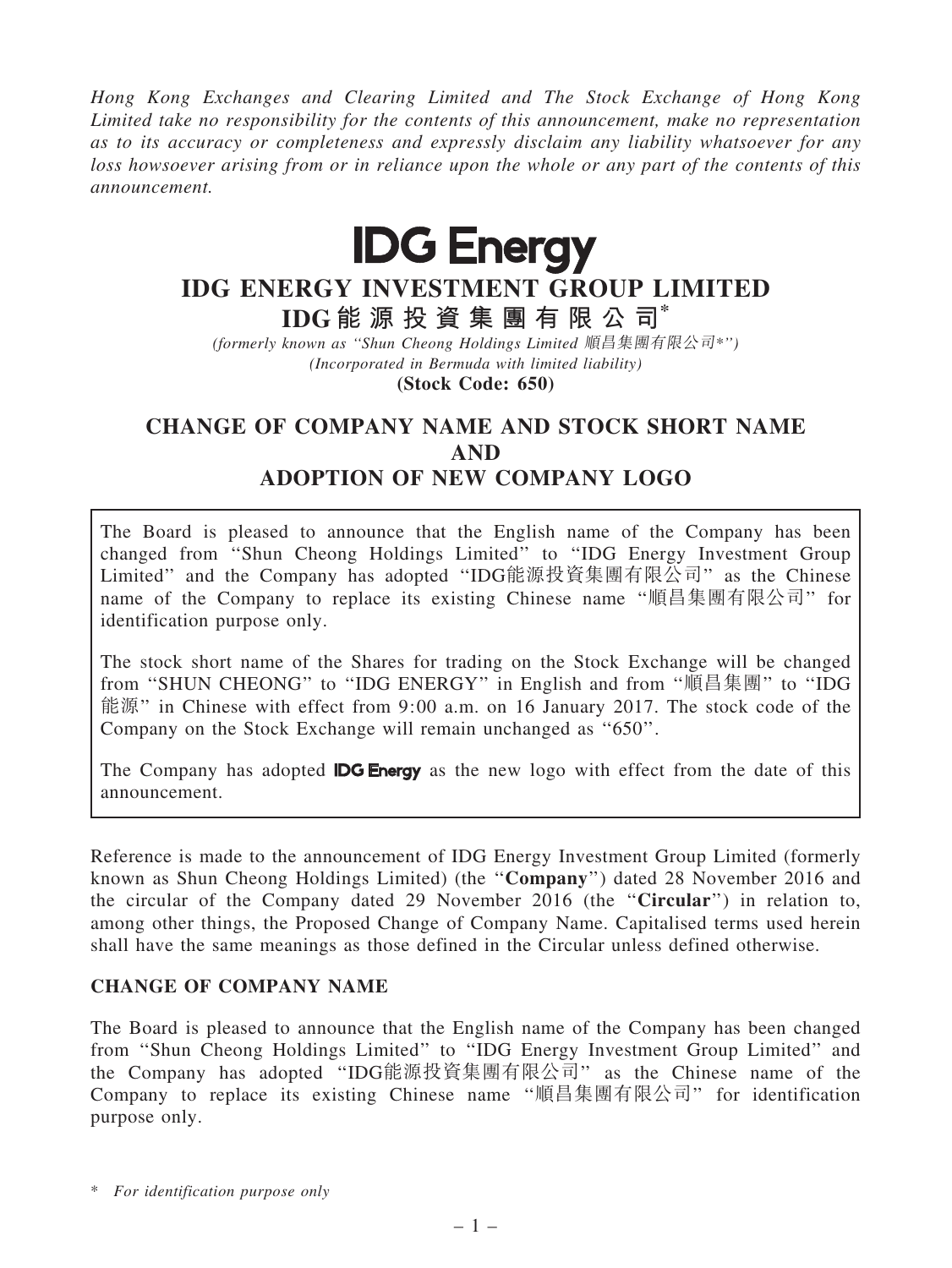Hong Kong Exchanges and Clearing Limited and The Stock Exchange of Hong Kong Limited take no responsibility for the contents of this announcement, make no representation as to its accuracy or completeness and expressly disclaim any liability whatsoever for any loss howsoever arising from or in reliance upon the whole or any part of the contents of this announcement.



# IDG ENERGY INVESTMENT GROUP LIMITED

IDG 能 源 投 資 集 團 有 限 公 司\*

(formerly known as ''Shun Cheong Holdings Limited 順昌集團有限公司\*'') (Incorporated in Bermuda with limited liability)

(Stock Code: 650)

# CHANGE OF COMPANY NAME AND STOCK SHORT NAME AND ADOPTION OF NEW COMPANY LOGO

The Board is pleased to announce that the English name of the Company has been changed from ''Shun Cheong Holdings Limited'' to ''IDG Energy Investment Group Limited'' and the Company has adopted ''IDG能源投資集團有限公司'' as the Chinese name of the Company to replace its existing Chinese name ''順昌集團有限公司'' for identification purpose only.

The stock short name of the Shares for trading on the Stock Exchange will be changed from ''SHUN CHEONG'' to ''IDG ENERGY'' in English and from ''順昌集團'' to ''IDG 能源'' in Chinese with effect from 9:00 a.m. on 16 January 2017. The stock code of the Company on the Stock Exchange will remain unchanged as ''650''.

The Company has adopted **IDG Energy** as the new logo with effect from the date of this announcement.

Reference is made to the announcement of IDG Energy Investment Group Limited (formerly known as Shun Cheong Holdings Limited) (the ''Company'') dated 28 November 2016 and the circular of the Company dated 29 November 2016 (the ''Circular'') in relation to, among other things, the Proposed Change of Company Name. Capitalised terms used herein shall have the same meanings as those defined in the Circular unless defined otherwise.

## CHANGE OF COMPANY NAME

The Board is pleased to announce that the English name of the Company has been changed from ''Shun Cheong Holdings Limited'' to ''IDG Energy Investment Group Limited'' and the Company has adopted ''IDG能源投資集團有限公司'' as the Chinese name of the Company to replace its existing Chinese name ''順昌集團有限公司'' for identification purpose only.

\* For identification purpose only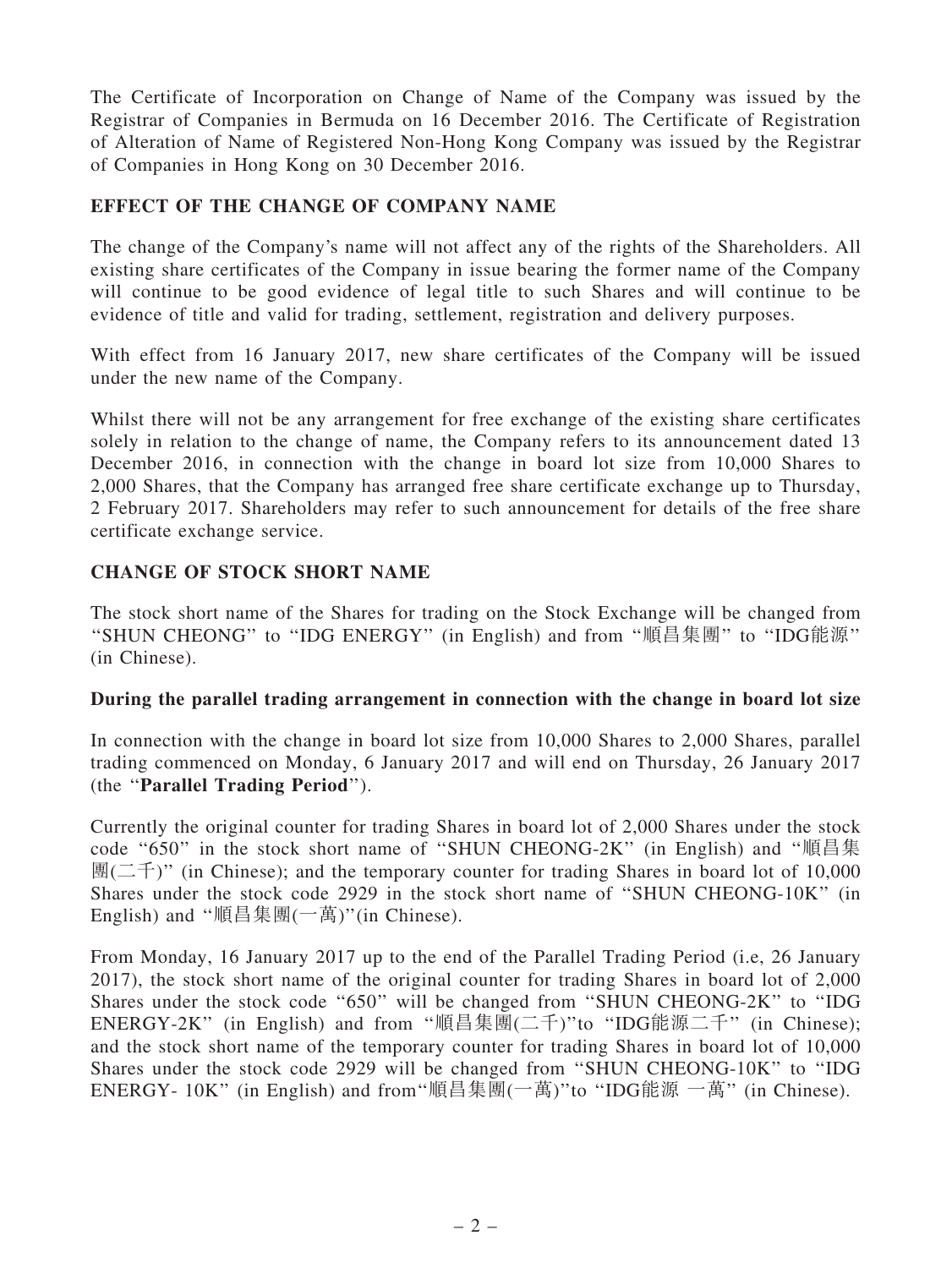The Certificate of Incorporation on Change of Name of the Company was issued by the Registrar of Companies in Bermuda on 16 December 2016. The Certificate of Registration of Alteration of Name of Registered Non-Hong Kong Company was issued by the Registrar of Companies in Hong Kong on 30 December 2016.

## EFFECT OF THE CHANGE OF COMPANY NAME

The change of the Company's name will not affect any of the rights of the Shareholders. All existing share certificates of the Company in issue bearing the former name of the Company will continue to be good evidence of legal title to such Shares and will continue to be evidence of title and valid for trading, settlement, registration and delivery purposes.

With effect from 16 January 2017, new share certificates of the Company will be issued under the new name of the Company.

Whilst there will not be any arrangement for free exchange of the existing share certificates solely in relation to the change of name, the Company refers to its announcement dated 13 December 2016, in connection with the change in board lot size from 10,000 Shares to 2,000 Shares, that the Company has arranged free share certificate exchange up to Thursday, 2 February 2017. Shareholders may refer to such announcement for details of the free share certificate exchange service.

#### CHANGE OF STOCK SHORT NAME

The stock short name of the Shares for trading on the Stock Exchange will be changed from ''SHUN CHEONG'' to ''IDG ENERGY'' (in English) and from ''順昌集團'' to ''IDG能源'' (in Chinese).

#### During the parallel trading arrangement in connection with the change in board lot size

In connection with the change in board lot size from 10,000 Shares to 2,000 Shares, parallel trading commenced on Monday, 6 January 2017 and will end on Thursday, 26 January 2017 (the ''Parallel Trading Period'').

Currently the original counter for trading Shares in board lot of 2,000 Shares under the stock code ''650'' in the stock short name of ''SHUN CHEONG-2K'' (in English) and ''順昌集  $\mathbb{H}(\square \oplus \mathbb{I}^*)$  (in Chinese); and the temporary counter for trading Shares in board lot of 10,000 Shares under the stock code 2929 in the stock short name of ''SHUN CHEONG-10K'' (in English) and "順昌集團(一萬)"(in Chinese).

From Monday, 16 January 2017 up to the end of the Parallel Trading Period (i.e, 26 January 2017), the stock short name of the original counter for trading Shares in board lot of 2,000 Shares under the stock code ''650'' will be changed from ''SHUN CHEONG-2K'' to ''IDG ENERGY-2K'' (in English) and from ''順昌集團(二千)''to ''IDG能源二千'' (in Chinese); and the stock short name of the temporary counter for trading Shares in board lot of 10,000 Shares under the stock code 2929 will be changed from ''SHUN CHEONG-10K'' to ''IDG ENERGY- 10K'' (in English) and from''順昌集團(一萬)''to ''IDG能源 一萬'' (in Chinese).